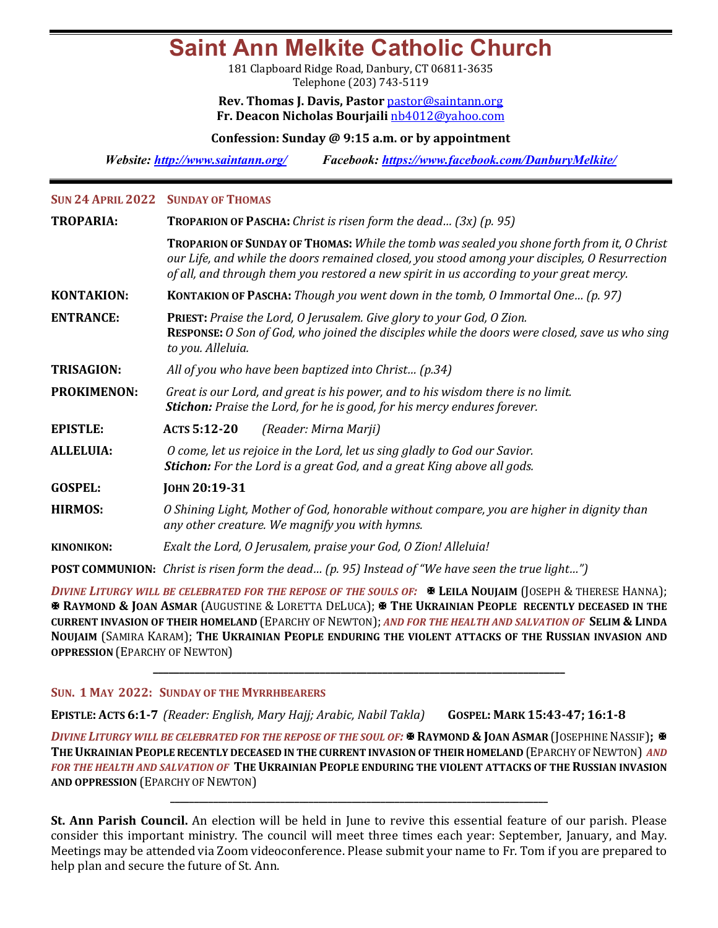# **Saint Ann Melkite Catholic Church**

181 Clapboard Ridge Road, Danbury, CT 06811-3635 Telephone (203) 743-5119

### **Rev. Thomas J. Davis, Pastor** pastor@saintann.org **Fr. Deacon Nicholas Bourjaili** nb4012@yahoo.com

**Confession: Sunday @ 9:15 a.m. or by appointment**

*Website: http://www.saintann.org/ Facebook: https://www.facebook.com/DanburyMelkite/* 

#### **SUN 24 APRIL 2022 SUNDAY OF THOMAS**

| <b>TROPARIA:</b>   | <b>TROPARION OF PASCHA:</b> Christ is risen form the dead $(3x)$ (p. 95)                                                                                                                                                                                                               |  |  |  |
|--------------------|----------------------------------------------------------------------------------------------------------------------------------------------------------------------------------------------------------------------------------------------------------------------------------------|--|--|--|
|                    | TROPARION OF SUNDAY OF THOMAS: While the tomb was sealed you shone forth from it, O Christ<br>our Life, and while the doors remained closed, you stood among your disciples, O Resurrection<br>of all, and through them you restored a new spirit in us according to your great mercy. |  |  |  |
| <b>KONTAKION:</b>  | <b>KONTAKION OF PASCHA:</b> Though you went down in the tomb, O Immortal One (p. 97)                                                                                                                                                                                                   |  |  |  |
| <b>ENTRANCE:</b>   | <b>PRIEST:</b> Praise the Lord, O Jerusalem. Give glory to your God, O Zion.<br><b>RESPONSE:</b> O Son of God, who joined the disciples while the doors were closed, save us who sing<br>to you. Alleluia.                                                                             |  |  |  |
| <b>TRISAGION:</b>  | All of you who have been baptized into Christ (p.34)                                                                                                                                                                                                                                   |  |  |  |
| <b>PROKIMENON:</b> | Great is our Lord, and great is his power, and to his wisdom there is no limit.<br><b>Stichon:</b> Praise the Lord, for he is good, for his mercy endures forever.                                                                                                                     |  |  |  |
| <b>EPISTLE:</b>    | ACTS 5:12-20<br>(Reader: Mirna Marji)                                                                                                                                                                                                                                                  |  |  |  |
| <b>ALLELUIA:</b>   | O come, let us rejoice in the Lord, let us sing gladly to God our Savior.<br><b>Stichon:</b> For the Lord is a great God, and a great King above all gods.                                                                                                                             |  |  |  |
| <b>GOSPEL:</b>     | JOHN 20:19-31                                                                                                                                                                                                                                                                          |  |  |  |
| <b>HIRMOS:</b>     | O Shining Light, Mother of God, honorable without compare, you are higher in dignity than<br>any other creature. We magnify you with hymns.                                                                                                                                            |  |  |  |
| <b>KINONIKON:</b>  | Exalt the Lord, O Jerusalem, praise your God, O Zion! Alleluia!                                                                                                                                                                                                                        |  |  |  |
|                    | <b>POST COMMUNION:</b> Christ is risen form the dead (p. 95) Instead of "We have seen the true light")                                                                                                                                                                                 |  |  |  |

*DIVINE LITURGY WILL BE CELEBRATED FOR THE REPOSE OF THE SOULS OF:*  $\blacksquare$  LEILA NOUJAIM (JOSEPH & THERESE HANNA); **& RAYMOND & JOAN ASMAR** (AUGUSTINE & LORETTA DELUCA); **X** THE UKRAINIAN PEOPLE RECENTLY DECEASED IN THE **CURRENT INVASION OF THEIR HOMELAND** (EPARCHY OF NEWTON); *AND FOR THE HEALTH AND SALVATION OF* SELIM & LINDA **NOUJAIM (SAMIRA KARAM); THE UKRAINIAN PEOPLE ENDURING THE VIOLENT ATTACKS OF THE RUSSIAN INVASION AND OPPRESSION** (EPARCHY OF NEWTON)

**\_\_\_\_\_\_\_\_\_\_\_\_\_\_\_\_\_\_\_\_\_\_\_\_\_\_\_\_\_\_\_\_\_\_\_\_\_\_\_\_\_\_\_\_\_\_\_\_\_\_\_\_\_\_\_\_\_\_\_\_\_\_\_\_\_\_\_\_\_\_\_\_\_\_\_\_\_\_\_**

### **SUN. 1 MAY 2022: SUNDAY OF THE MYRRHBEARERS**

**EPISTLE: ACTS 6:1-7** *(Reader: English, Mary Hajj; Arabic, Nabil Takla)* **GOSPEL: MARK 15:43-47; 16:1-8**

*DIVINE LITURGY WILL BE CELEBRATED FOR THE REPOSE OF THE SOUL OF:*  $\mathbb{\mathbb{R}}$  RAYMOND & JOAN ASMAR (JOSEPHINE NASSIF);  $\mathbb{\mathbb{R}}$ **THE UKRAINIAN PEOPLE RECENTLY DECEASED IN THE CURRENT INVASION OF THEIR HOMELAND (EPARCHY OF NEWTON) AND** FOR THE HEALTH AND SALVATION OF THE UKRAINIAN PEOPLE ENDURING THE VIOLENT ATTACKS OF THE RUSSIAN INVASION **AND OPPRESSION (EPARCHY OF NEWTON)** 

**\_\_\_\_\_\_\_\_\_\_\_\_\_\_\_\_\_\_\_\_\_\_\_\_\_\_\_\_\_\_\_\_\_\_\_\_\_\_\_\_\_\_\_\_\_\_\_\_\_\_\_\_\_\_\_\_\_\_\_\_\_\_\_\_\_\_\_\_\_\_\_\_\_\_\_\_\_\_\_**

**St. Ann Parish Council.** An election will be held in June to revive this essential feature of our parish. Please consider this important ministry. The council will meet three times each year: September, January, and May. Meetings may be attended via Zoom videoconference. Please submit your name to Fr. Tom if you are prepared to help plan and secure the future of St. Ann.